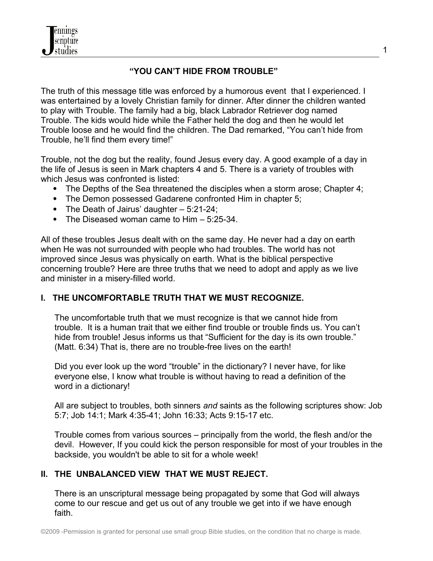nnings cripture studies

# **"YOU CAN'T HIDE FROM TROUBLE"**

The truth of this message title was enforced by a humorous event that I experienced. I was entertained by a lovely Christian family for dinner. After dinner the children wanted to play with Trouble. The family had a big, black Labrador Retriever dog named Trouble. The kids would hide while the Father held the dog and then he would let Trouble loose and he would find the children. The Dad remarked, "You can't hide from Trouble, he'll find them every time!"

Trouble, not the dog but the reality, found Jesus every day. A good example of a day in the life of Jesus is seen in Mark chapters 4 and 5. There is a variety of troubles with which Jesus was confronted is listed:

- The Depths of the Sea threatened the disciples when a storm arose; Chapter 4;
- The Demon possessed Gadarene confronted Him in chapter 5;
- The Death of Jairus' daughter 5:21-24;
- The Diseased woman came to Him 5:25-34.

All of these troubles Jesus dealt with on the same day. He never had a day on earth when He was not surrounded with people who had troubles. The world has not improved since Jesus was physically on earth. What is the biblical perspective concerning trouble? Here are three truths that we need to adopt and apply as we live and minister in a misery-filled world.

### **I. THE UNCOMFORTABLE TRUTH THAT WE MUST RECOGNIZE.**

The uncomfortable truth that we must recognize is that we cannot hide from trouble. It is a human trait that we either find trouble or trouble finds us. You can't hide from trouble! Jesus informs us that "Sufficient for the day is its own trouble." (Matt. 6:34) That is, there are no trouble-free lives on the earth!

Did you ever look up the word "trouble" in the dictionary? I never have, for like everyone else, I know what trouble is without having to read a definition of the word in a dictionary!

All are subject to troubles, both sinners *and* saints as the following scriptures show: Job 5:7; Job 14:1; Mark 4:35-41; John 16:33; Acts 9:15-17 etc.

Trouble comes from various sources – principally from the world, the flesh and/or the devil. However, If you could kick the person responsible for most of your troubles in the backside, you wouldn't be able to sit for a whole week!

### **II. THE UNBALANCED VIEW THAT WE MUST REJECT.**

There is an unscriptural message being propagated by some that God will always come to our rescue and get us out of any trouble we get into if we have enough faith.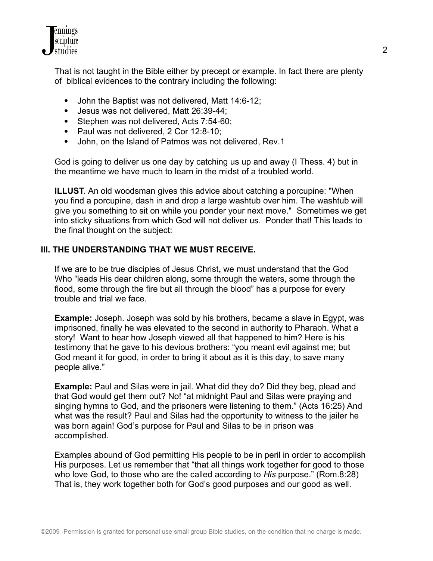

That is not taught in the Bible either by precept or example. In fact there are plenty of biblical evidences to the contrary including the following:

- John the Baptist was not delivered, Matt 14:6-12;
- Jesus was not delivered, Matt 26:39-44;
- Stephen was not delivered, Acts 7:54-60;
- Paul was not delivered, 2 Cor 12:8-10;
- John, on the Island of Patmos was not delivered, Rev.1

God is going to deliver us one day by catching us up and away (I Thess. 4) but in the meantime we have much to learn in the midst of a troubled world.

**ILLUST**. An old woodsman gives this advice about catching a porcupine: "When you find a porcupine, dash in and drop a large washtub over him. The washtub will give you something to sit on while you ponder your next move." Sometimes we get into sticky situations from which God will not deliver us. Ponder that! This leads to the final thought on the subject:

### **III. THE UNDERSTANDING THAT WE MUST RECEIVE.**

If we are to be true disciples of Jesus Christ**,** we must understand that the God Who "leads His dear children along, some through the waters, some through the flood, some through the fire but all through the blood" has a purpose for every trouble and trial we face.

**Example:** Joseph. Joseph was sold by his brothers, became a slave in Egypt, was imprisoned, finally he was elevated to the second in authority to Pharaoh. What a story! Want to hear how Joseph viewed all that happened to him? Here is his testimony that he gave to his devious brothers: "you meant evil against me; but God meant it for good, in order to bring it about as it is this day, to save many people alive."

**Example:** Paul and Silas were in jail. What did they do? Did they beg, plead and that God would get them out? No! "at midnight Paul and Silas were praying and singing hymns to God, and the prisoners were listening to them." (Acts 16:25) And what was the result? Paul and Silas had the opportunity to witness to the jailer he was born again! God's purpose for Paul and Silas to be in prison was accomplished.

Examples abound of God permitting His people to be in peril in order to accomplish His purposes. Let us remember that "that all things work together for good to those who love God, to those who are the called according to *His* purpose." (Rom.8:28) That is, they work together both for God's good purposes and our good as well.